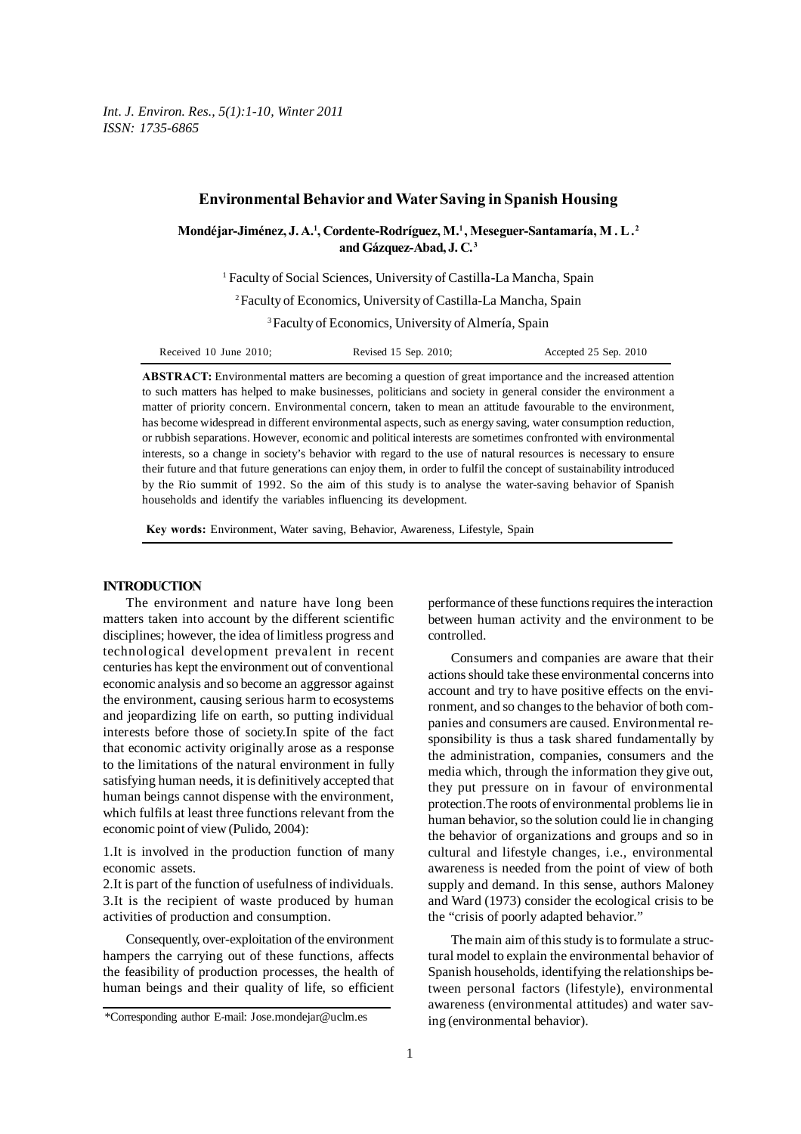*Int. J. Environ. Res., 5(1):1-10, Winter 2011 ISSN: 1735-6865*

# **Environmental Behavior and Water Saving in Spanish Housing**

Mondéjar-Jiménez, J. A.<sup>1</sup>, Cordente-Rodríguez, M.<sup>1</sup>, Meseguer-Santamaría, M. L.<sup>2</sup> **and Gázquez-Abad, J. C. 3**

<sup>1</sup> Faculty of Social Sciences, University of Castilla-La Mancha, Spain

2 Faculty of Economics, University of Castilla-La Mancha, Spain

3 Faculty of Economics, University of Almería, Spain

| Received 10 June 2010; | Revised 15 Sep. 2010; | Accepted 25 Sep. 2010 |
|------------------------|-----------------------|-----------------------|
|                        |                       |                       |

**ABSTRACT:** Environmental matters are becoming a question of great importance and the increased attention to such matters has helped to make businesses, politicians and society in general consider the environment a matter of priority concern. Environmental concern, taken to mean an attitude favourable to the environment, has become widespread in different environmental aspects, such as energy saving, water consumption reduction, or rubbish separations. However, economic and political interests are sometimes confronted with environmental interests, so a change in society's behavior with regard to the use of natural resources is necessary to ensure their future and that future generations can enjoy them, in order to fulfil the concept of sustainability introduced by the Rio summit of 1992. So the aim of this study is to analyse the water-saving behavior of Spanish households and identify the variables influencing its development.

**Key words:** Environment, Water saving, Behavior, Awareness, Lifestyle, Spain

# **INTRODUCTION**

The environment and nature have long been matters taken into account by the different scientific disciplines; however, the idea of limitless progress and technological development prevalent in recent centuries has kept the environment out of conventional economic analysis and so become an aggressor against the environment, causing serious harm to ecosystems and jeopardizing life on earth, so putting individual interests before those of society.In spite of the fact that economic activity originally arose as a response to the limitations of the natural environment in fully satisfying human needs, it is definitively accepted that human beings cannot dispense with the environment, which fulfils at least three functions relevant from the economic point of view (Pulido, 2004):

1.It is involved in the production function of many economic assets.

2.It is part of the function of usefulness of individuals. 3.It is the recipient of waste produced by human activities of production and consumption.

Consequently, over-exploitation of the environment hampers the carrying out of these functions, affects the feasibility of production processes, the health of human beings and their quality of life, so efficient performance of these functions requires the interaction between human activity and the environment to be controlled.

Consumers and companies are aware that their actions should take these environmental concerns into account and try to have positive effects on the environment, and so changes to the behavior of both companies and consumers are caused. Environmental responsibility is thus a task shared fundamentally by the administration, companies, consumers and the media which, through the information they give out, they put pressure on in favour of environmental protection.The roots of environmental problems lie in human behavior, so the solution could lie in changing the behavior of organizations and groups and so in cultural and lifestyle changes, i.e., environmental awareness is needed from the point of view of both supply and demand. In this sense, authors Maloney and Ward (1973) consider the ecological crisis to be the "crisis of poorly adapted behavior."

The main aim of this study is to formulate a structural model to explain the environmental behavior of Spanish households, identifying the relationships between personal factors (lifestyle), environmental awareness (environmental attitudes) and water saving (environmental behavior).

<sup>\*</sup>Corresponding author E-mail: Jose.mondejar@uclm.es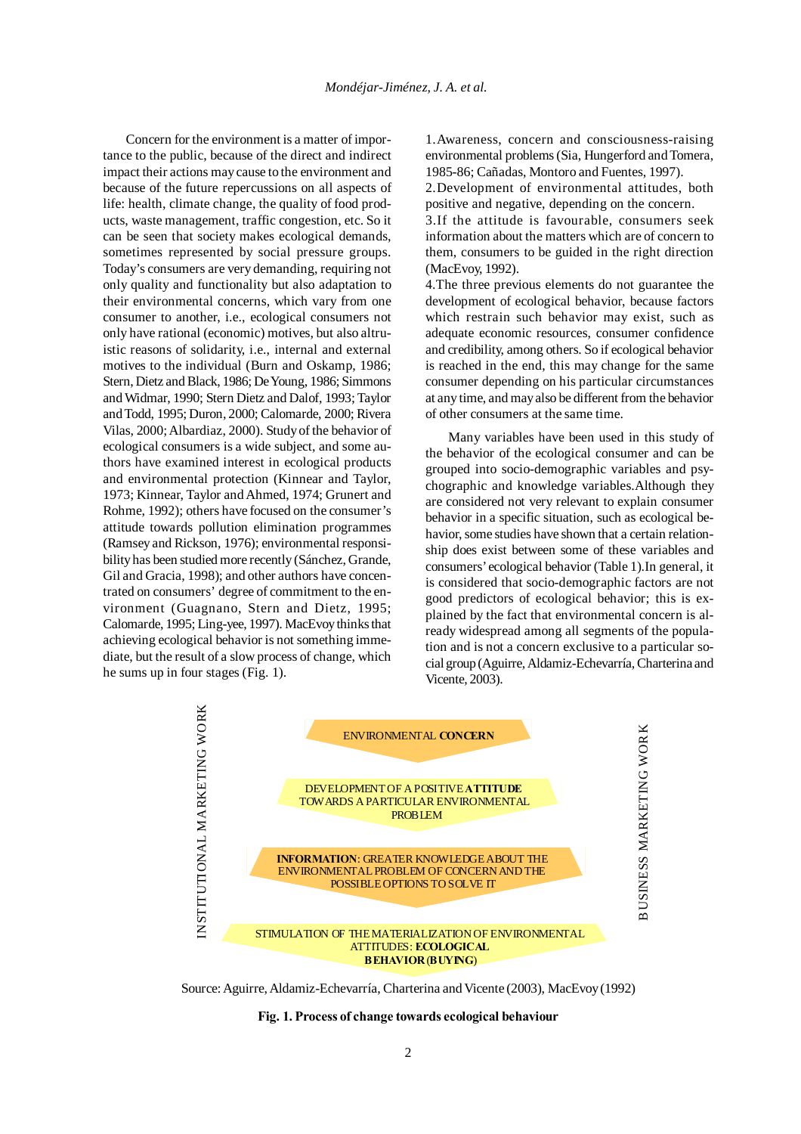Concern for the environment is a matter of importance to the public, because of the direct and indirect impact their actions may cause to the environment and because of the future repercussions on all aspects of life: health, climate change, the quality of food products, waste management, traffic congestion, etc. So it can be seen that society makes ecological demands, sometimes represented by social pressure groups. Today's consumers are very demanding, requiring not only quality and functionality but also adaptation to their environmental concerns, which vary from one consumer to another, i.e., ecological consumers not only have rational (economic) motives, but also altruistic reasons of solidarity, i.e., internal and external motives to the individual (Burn and Oskamp, 1986; Stern, Dietz and Black, 1986; De Young, 1986; Simmons and Widmar, 1990; Stern Dietz and Dalof, 1993; Taylor and Todd, 1995; Duron, 2000; Calomarde, 2000; Rivera Vilas, 2000; Albardiaz, 2000). Study of the behavior of ecological consumers is a wide subject, and some authors have examined interest in ecological products and environmental protection (Kinnear and Taylor, 1973; Kinnear, Taylor and Ahmed, 1974; Grunert and Rohme, 1992); others have focused on the consumer's attitude towards pollution elimination programmes (Ramsey and Rickson, 1976); environmental responsibility has been studied more recently (Sánchez, Grande, Gil and Gracia, 1998); and other authors have concentrated on consumers' degree of commitment to the environment (Guagnano, Stern and Dietz, 1995; Calomarde, 1995; Ling-yee, 1997). MacEvoy thinks that achieving ecological behavior is not something immediate, but the result of a slow process of change, which he sums up in four stages (Fig. 1).

1.Awareness, concern and consciousness-raising environmental problems (Sia, Hungerford and Tomera, 1985-86; Cañadas, Montoro and Fuentes, 1997).

2.Development of environmental attitudes, both positive and negative, depending on the concern.

3.If the attitude is favourable, consumers seek information about the matters which are of concern to them, consumers to be guided in the right direction (MacEvoy, 1992).

4.The three previous elements do not guarantee the development of ecological behavior, because factors which restrain such behavior may exist, such as adequate economic resources, consumer confidence and credibility, among others. So if ecological behavior is reached in the end, this may change for the same consumer depending on his particular circumstances at any time, and may also be different from the behavior of other consumers at the same time.

Many variables have been used in this study of the behavior of the ecological consumer and can be grouped into socio-demographic variables and psychographic and knowledge variables.Although they are considered not very relevant to explain consumer behavior in a specific situation, such as ecological behavior, some studies have shown that a certain relationship does exist between some of these variables and consumers' ecological behavior (Table 1).In general, it is considered that socio-demographic factors are not good predictors of ecological behavior; this is explained by the fact that environmental concern is already widespread among all segments of the population and is not a concern exclusive to a particular social group (Aguirre, Aldamiz-Echevarría, Charterina and Vicente, 2003).



Source: Aguirre, Aldamiz-Echevarría, Charterina and Vicente (2003), MacEvoy (1992)

#### **Fig. 1. Process of change towards ecological behaviour**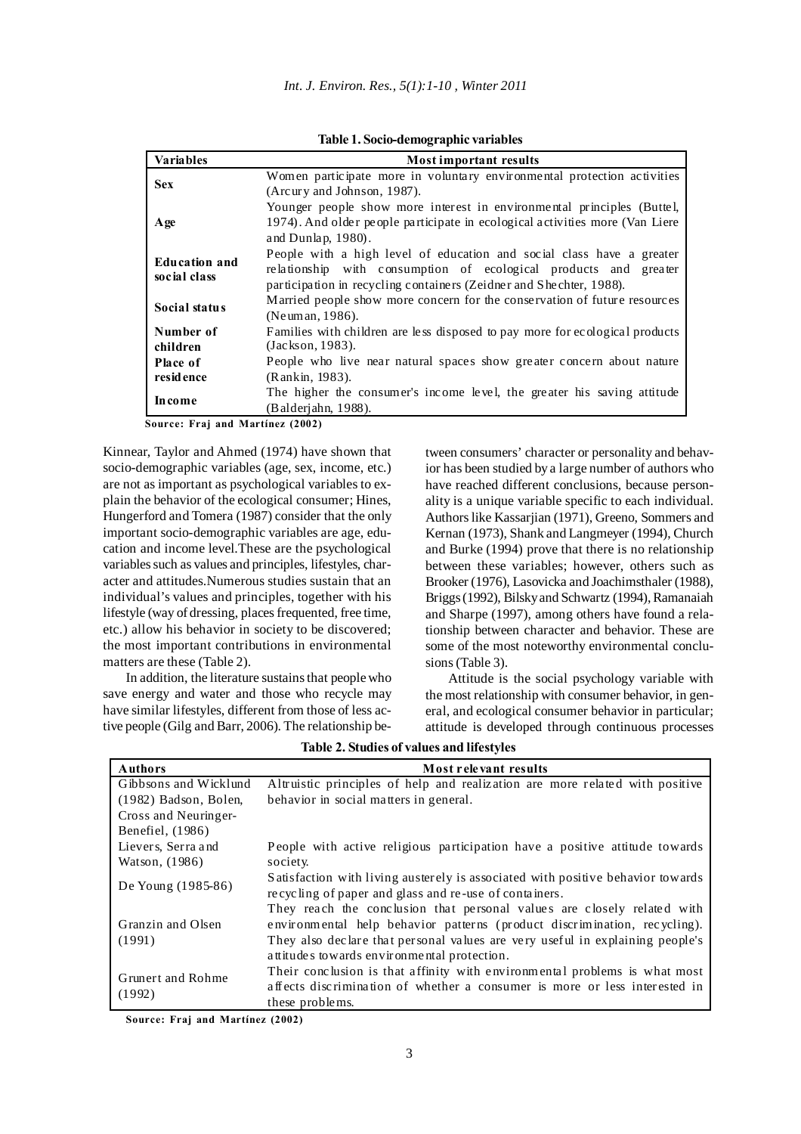|  | Table 1. Socio-demographic variables |  |  |
|--|--------------------------------------|--|--|
|--|--------------------------------------|--|--|

| <b>Variables</b>              | <b>Most important results</b>                                                |
|-------------------------------|------------------------------------------------------------------------------|
| <b>Sex</b>                    | Women participate more in voluntary environmental protection activities      |
|                               | (Arcury and Johnson, 1987).                                                  |
|                               | Younger people show more interest in environmental principles (Buttel,       |
| Age                           | 1974). And older people participate in ecological activities more (Van Liere |
|                               | and Dunlap, 1980).                                                           |
|                               | People with a high level of education and social class have a greater        |
| Education and<br>social class | relationship with consumption of ecological products and greater             |
|                               | participation in recycling containers (Zeidner and Shechter, 1988).          |
| Social status                 | Married people show more concern for the conservation of future resources    |
|                               | (Neuman, 1986).                                                              |
| Number of                     | Families with children are less disposed to pay more for ecological products |
| children                      | (Jackson, 1983).                                                             |
| Place of                      | People who live near natural spaces show greater concern about nature        |
| resid ence                    | (Rankin, 1983).                                                              |
|                               | The higher the consumer's income level, the greater his saving attitude      |
| <b>Income</b>                 | (Balderjahn, 1988).                                                          |

**Source: Fraj and Martínez (2002)**

Kinnear, Taylor and Ahmed (1974) have shown that socio-demographic variables (age, sex, income, etc.) are not as important as psychological variables to explain the behavior of the ecological consumer; Hines, Hungerford and Tomera (1987) consider that the only important socio-demographic variables are age, education and income level.These are the psychological variables such as values and principles, lifestyles, character and attitudes.Numerous studies sustain that an individual's values and principles, together with his lifestyle (way of dressing, places frequented, free time, etc.) allow his behavior in society to be discovered; the most important contributions in environmental matters are these (Table 2).

In addition, the literature sustains that people who save energy and water and those who recycle may have similar lifestyles, different from those of less active people (Gilg and Barr, 2006). The relationship between consumers' character or personality and behavior has been studied by a large number of authors who have reached different conclusions, because personality is a unique variable specific to each individual. Authors like Kassarjian (1971), Greeno, Sommers and Kernan (1973), Shank and Langmeyer (1994), Church and Burke (1994) prove that there is no relationship between these variables; however, others such as Brooker (1976), Lasovicka and Joachimsthaler (1988), Briggs (1992), Bilsky and Schwartz (1994), Ramanaiah and Sharpe (1997), among others have found a relationship between character and behavior. These are some of the most noteworthy environmental conclusions (Table 3).

Attitude is the social psychology variable with the most relationship with consumer behavior, in general, and ecological consumer behavior in particular; attitude is developed through continuous processes

| <b>Authors</b>          | Most relevant results                                                                                                                                |
|-------------------------|------------------------------------------------------------------------------------------------------------------------------------------------------|
| Gibbsons and Wicklund   | Altruistic principles of help and realization are more related with positive                                                                         |
| $(1982)$ Badson, Bolen, | behavior in social matters in general.                                                                                                               |
| Cross and Neuringer-    |                                                                                                                                                      |
| Benefiel, (1986)        |                                                                                                                                                      |
| Lievers, Serra and      | People with active religious participation have a positive attitude towards                                                                          |
| Watson, (1986)          | society.                                                                                                                                             |
| De Young (1985-86)      | Satisfaction with living austerely is associated with positive behavior towards                                                                      |
|                         | recycling of paper and glass and re-use of containers.                                                                                               |
| Granzin and Olsen       | They reach the conclusion that personal values are closely related with<br>environmental help behavior patterns (product discrimination, recycling). |
| (1991)                  | They also declare that personal values are very useful in explaining people's                                                                        |
|                         | attitudes towards environmental protection.                                                                                                          |
| Grunert and Rohme       | Their conclusion is that affinity with environmental problems is what most                                                                           |
|                         | affects discrimination of whether a consumer is more or less interested in                                                                           |
| (1992)                  | these problems.                                                                                                                                      |

**Table 2. Studies of values and lifestyles**

**Source: Fraj and Martínez (2002)**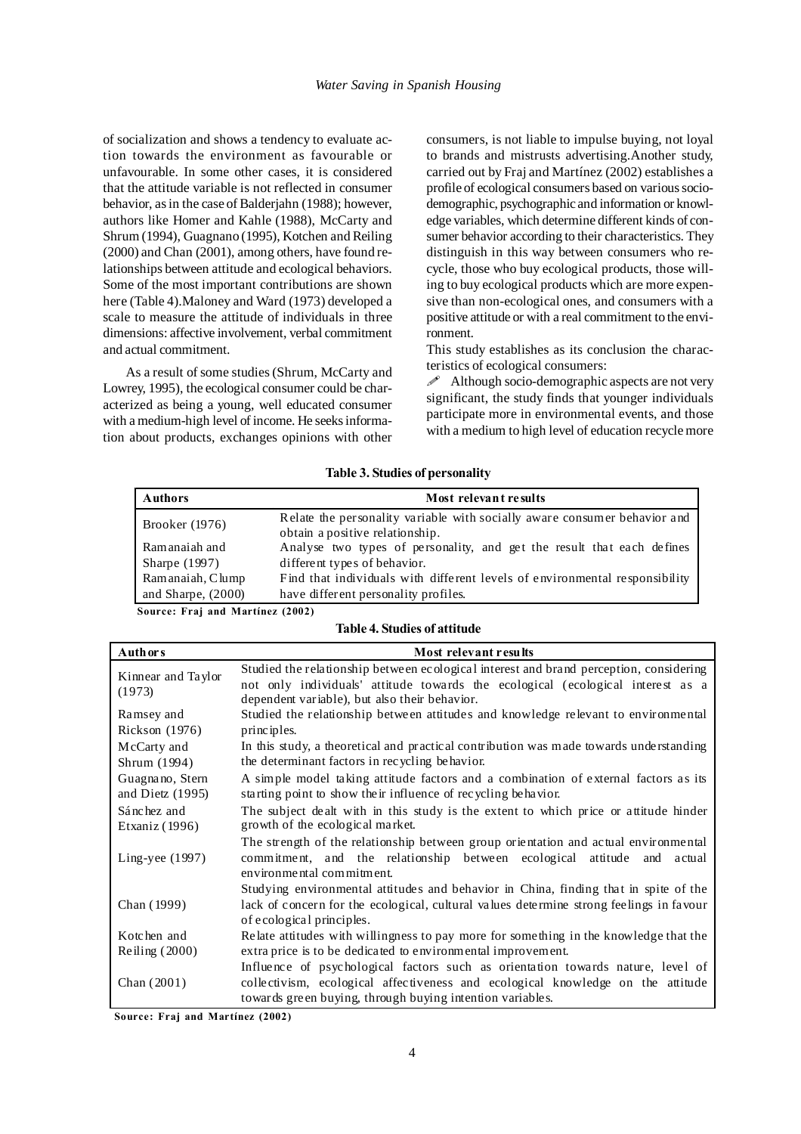of socialization and shows a tendency to evaluate action towards the environment as favourable or unfavourable. In some other cases, it is considered that the attitude variable is not reflected in consumer behavior, as in the case of Balderjahn (1988); however, authors like Homer and Kahle (1988), McCarty and Shrum (1994), Guagnano (1995), Kotchen and Reiling (2000) and Chan (2001), among others, have found relationships between attitude and ecological behaviors. Some of the most important contributions are shown here (Table 4).Maloney and Ward (1973) developed a scale to measure the attitude of individuals in three dimensions: affective involvement, verbal commitment and actual commitment.

As a result of some studies (Shrum, McCarty and Lowrey, 1995), the ecological consumer could be characterized as being a young, well educated consumer with a medium-high level of income. He seeks information about products, exchanges opinions with other

consumers, is not liable to impulse buying, not loyal to brands and mistrusts advertising.Another study, carried out by Fraj and Martínez (2002) establishes a profile of ecological consumers based on various sociodemographic, psychographic and information or knowledge variables, which determine different kinds of consumer behavior according to their characteristics. They distinguish in this way between consumers who recycle, those who buy ecological products, those willing to buy ecological products which are more expensive than non-ecological ones, and consumers with a positive attitude or with a real commitment to the environment.

This study establishes as its conclusion the characteristics of ecological consumers:

 $\mathscr{P}$  Although socio-demographic aspects are not very significant, the study finds that younger individuals participate more in environmental events, and those with a medium to high level of education recycle more

| Table 3. Studies of personality |  |  |  |  |  |  |
|---------------------------------|--|--|--|--|--|--|
|---------------------------------|--|--|--|--|--|--|

| <b>Authors</b>       | Most relevant results                                                                                        |
|----------------------|--------------------------------------------------------------------------------------------------------------|
| Brooker (1976)       | Relate the personality variable with socially aware consumer behavior and<br>obtain a positive relationship. |
| Ramanaiah and        | Analyse two types of personality, and get the result that each defines                                       |
| Sharpe $(1997)$      | different types of behavior.                                                                                 |
| Ramanaiah, Clump     | Find that individuals with different levels of environmental responsibility                                  |
| and Sharpe, $(2000)$ | have different personality profiles.                                                                         |
|                      | (0.000)                                                                                                      |

**Source: Fraj and Martínez (2002)**

## **Table 4. Studies of attitude**

| Auth or s                             | Most relevant results                                                                                                                                                                                                      |
|---------------------------------------|----------------------------------------------------------------------------------------------------------------------------------------------------------------------------------------------------------------------------|
| Kinnear and Taylor<br>(1973)          | Studied the relationship between ecological interest and brand perception, considering<br>not only individuals' attitude towards the ecological (ecological interest as a<br>dependent variable), but also their behavior. |
| Ramsey and                            | Studied the relationship between attitudes and knowledge relevant to environmental                                                                                                                                         |
| Rickson (1976)                        | principles.                                                                                                                                                                                                                |
| McCarty and                           | In this study, a theoretical and practical contribution was made towards understanding                                                                                                                                     |
| Shrum (1994)                          | the determinant factors in recycling behavior.                                                                                                                                                                             |
| Guagnano, Stern<br>and Dietz $(1995)$ | A simple model taking attitude factors and a combination of external factors as its<br>starting point to show their influence of recycling behavior.                                                                       |
| Sánchez and                           | The subject dealt with in this study is the extent to which price or attitude hinder                                                                                                                                       |
| Etxaniz (1996)                        | growth of the ecological market.                                                                                                                                                                                           |
| Ling-yee $(1997)$                     | The strength of the relationship between group orientation and actual environmental<br>commitment, and the relationship between ecological attitude and actual<br>environmental commitment.                                |
|                                       | Studying environmental attitudes and behavior in China, finding that in spite of the                                                                                                                                       |
| Chan (1999)                           | lack of concern for the ecological, cultural values determine strong feelings in favour                                                                                                                                    |
|                                       | of ecological principles.                                                                                                                                                                                                  |
| Kotchen and                           | Relate attitudes with willingness to pay more for something in the knowledge that the                                                                                                                                      |
| Reiling $(2000)$                      | extra price is to be dedicated to environmental improvement.                                                                                                                                                               |
|                                       | Influence of psychological factors such as orientation towards nature, level of                                                                                                                                            |
| Chan $(2001)$                         | collectivism, ecological affectiveness and ecological knowledge on the attitude                                                                                                                                            |
|                                       | towards green buying, through buying intention variables.                                                                                                                                                                  |

**Source: Fraj and Martínez (2002)**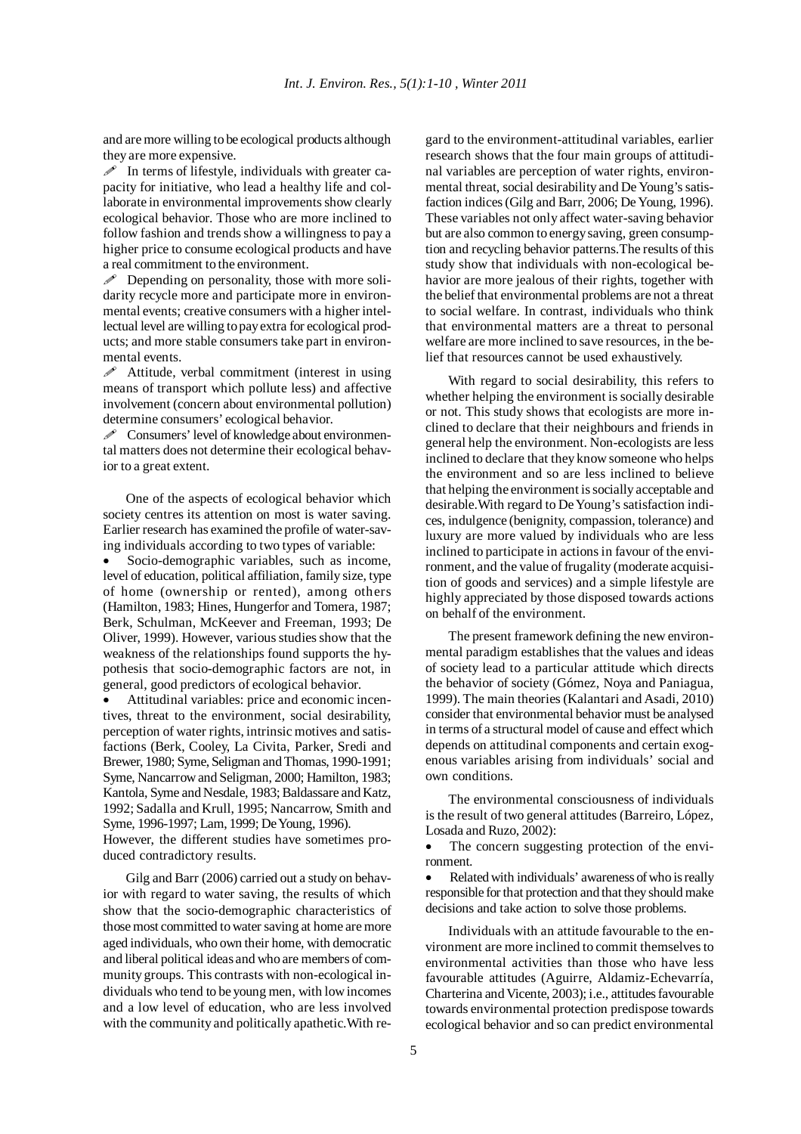and are more willing to be ecological products although they are more expensive.

 $\mathscr I$  In terms of lifestyle, individuals with greater capacity for initiative, who lead a healthy life and collaborate in environmental improvements show clearly ecological behavior. Those who are more inclined to follow fashion and trends show a willingness to pay a higher price to consume ecological products and have a real commitment to the environment.

 $\mathscr P$  Depending on personality, those with more solidarity recycle more and participate more in environmental events; creative consumers with a higher intellectual level are willing to pay extra for ecological products; and more stable consumers take part in environmental events.

 $\mathscr N$  Attitude, verbal commitment (interest in using means of transport which pollute less) and affective involvement (concern about environmental pollution) determine consumers' ecological behavior.

 Consumers' level of knowledge about environmental matters does not determine their ecological behavior to a great extent.

One of the aspects of ecological behavior which society centres its attention on most is water saving. Earlier research has examined the profile of water-saving individuals according to two types of variable:

Socio-demographic variables, such as income, level of education, political affiliation, family size, type of home (ownership or rented), among others (Hamilton, 1983; Hines, Hungerfor and Tomera, 1987; Berk, Schulman, McKeever and Freeman, 1993; De Oliver, 1999). However, various studies show that the weakness of the relationships found supports the hypothesis that socio-demographic factors are not, in general, good predictors of ecological behavior.

Attitudinal variables: price and economic incentives, threat to the environment, social desirability, perception of water rights, intrinsic motives and satisfactions (Berk, Cooley, La Civita, Parker, Sredi and Brewer, 1980; Syme, Seligman and Thomas, 1990-1991; Syme, Nancarrow and Seligman, 2000; Hamilton, 1983; Kantola, Syme and Nesdale, 1983; Baldassare and Katz, 1992; Sadalla and Krull, 1995; Nancarrow, Smith and Syme, 1996-1997; Lam, 1999; De Young, 1996).

However, the different studies have sometimes produced contradictory results.

Gilg and Barr (2006) carried out a study on behavior with regard to water saving, the results of which show that the socio-demographic characteristics of those most committed to water saving at home are more aged individuals, who own their home, with democratic and liberal political ideas and who are members of community groups. This contrasts with non-ecological individuals who tend to be young men, with low incomes and a low level of education, who are less involved with the community and politically apathetic.With regard to the environment-attitudinal variables, earlier research shows that the four main groups of attitudinal variables are perception of water rights, environmental threat, social desirability and De Young's satisfaction indices (Gilg and Barr, 2006; De Young, 1996). These variables not only affect water-saving behavior but are also common to energy saving, green consumption and recycling behavior patterns.The results of this study show that individuals with non-ecological behavior are more jealous of their rights, together with the belief that environmental problems are not a threat to social welfare. In contrast, individuals who think that environmental matters are a threat to personal welfare are more inclined to save resources, in the belief that resources cannot be used exhaustively.

With regard to social desirability, this refers to whether helping the environment is socially desirable or not. This study shows that ecologists are more inclined to declare that their neighbours and friends in general help the environment. Non-ecologists are less inclined to declare that they know someone who helps the environment and so are less inclined to believe that helping the environment is socially acceptable and desirable.With regard to De Young's satisfaction indices, indulgence (benignity, compassion, tolerance) and luxury are more valued by individuals who are less inclined to participate in actions in favour of the environment, and the value of frugality (moderate acquisition of goods and services) and a simple lifestyle are highly appreciated by those disposed towards actions on behalf of the environment.

The present framework defining the new environmental paradigm establishes that the values and ideas of society lead to a particular attitude which directs the behavior of society (Gómez, Noya and Paniagua, 1999). The main theories (Kalantari and Asadi, 2010) consider that environmental behavior must be analysed in terms of a structural model of cause and effect which depends on attitudinal components and certain exogenous variables arising from individuals' social and own conditions.

The environmental consciousness of individuals is the result of two general attitudes (Barreiro, López, Losada and Ruzo, 2002):

The concern suggesting protection of the environment.

Related with individuals' awareness of who is really responsible for that protection and that they should make decisions and take action to solve those problems.

Individuals with an attitude favourable to the environment are more inclined to commit themselves to environmental activities than those who have less favourable attitudes (Aguirre, Aldamiz-Echevarría, Charterina and Vicente, 2003); i.e., attitudes favourable towards environmental protection predispose towards ecological behavior and so can predict environmental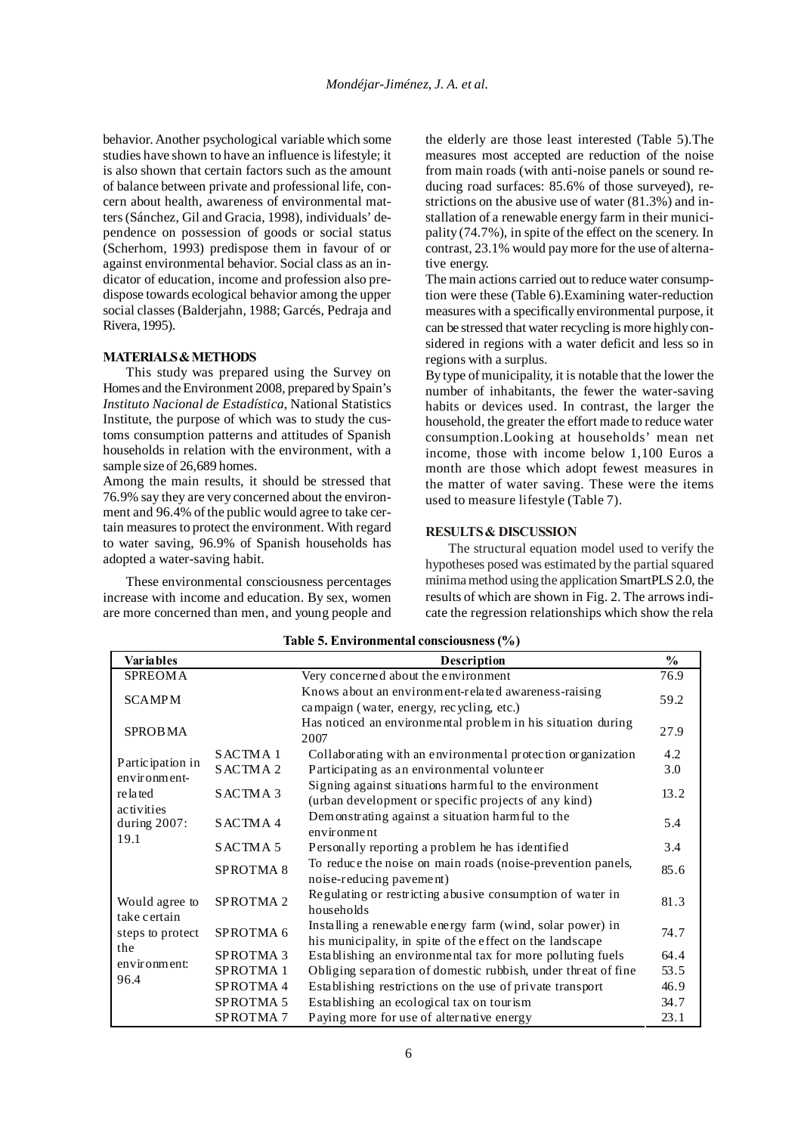behavior. Another psychological variable which some studies have shown to have an influence is lifestyle; it is also shown that certain factors such as the amount of balance between private and professional life, concern about health, awareness of environmental matters (Sánchez, Gil and Gracia, 1998), individuals' dependence on possession of goods or social status (Scherhom, 1993) predispose them in favour of or against environmental behavior. Social class as an indicator of education, income and profession also predispose towards ecological behavior among the upper social classes (Balderjahn, 1988; Garcés, Pedraja and Rivera, 1995).

### **MATERIALS & METHODS**

This study was prepared using the Survey on Homes and the Environment 2008, prepared by Spain's *Instituto Nacional de Estadística*, National Statistics Institute, the purpose of which was to study the customs consumption patterns and attitudes of Spanish households in relation with the environment, with a sample size of 26,689 homes.

Among the main results, it should be stressed that 76.9% say they are very concerned about the environment and 96.4% of the public would agree to take certain measures to protect the environment. With regard to water saving, 96.9% of Spanish households has adopted a water-saving habit.

These environmental consciousness percentages increase with income and education. By sex, women are more concerned than men, and young people and the elderly are those least interested (Table 5).The measures most accepted are reduction of the noise from main roads (with anti-noise panels or sound reducing road surfaces: 85.6% of those surveyed), restrictions on the abusive use of water (81.3%) and installation of a renewable energy farm in their municipality (74.7%), in spite of the effect on the scenery. In contrast, 23.1% would pay more for the use of alternative energy.

The main actions carried out to reduce water consumption were these (Table 6).Examining water-reduction measures with a specifically environmental purpose, it can be stressed that water recycling is more highly considered in regions with a water deficit and less so in regions with a surplus.

By type of municipality, it is notable that the lower the number of inhabitants, the fewer the water-saving habits or devices used. In contrast, the larger the household, the greater the effort made to reduce water consumption.Looking at households' mean net income, those with income below 1,100 Euros a month are those which adopt fewest measures in the matter of water saving. These were the items used to measure lifestyle (Table 7).

#### **RESULTS & DISCUSSION**

The structural equation model used to verify the hypotheses posed was estimated by the partial squared minima method using the application SmartPLS 2.0, the results of which are shown in Fig. 2. The arrows indicate the regression relationships which show the rela

| <b>Variables</b>               |                      | Description                                                                                                            | $\frac{0}{0}$ |
|--------------------------------|----------------------|------------------------------------------------------------------------------------------------------------------------|---------------|
| <b>SPREOMA</b>                 |                      | Very concerned about the environment                                                                                   | 76.9          |
| <b>SCAMPM</b>                  |                      | Knows about an environment-related awareness-raising<br>campaign (water, energy, recycling, etc.)                      | 59.2          |
| <b>SPROBMA</b>                 |                      | Has noticed an environmental problem in his situation during<br>2007                                                   | 27.9          |
|                                | SACTMA <sub>1</sub>  | Collaborating with an environmental protection organization                                                            | 4.2           |
| Partic ipation in              | SACTMA <sub>2</sub>  | Participating as an environmental volunteer                                                                            | 3.0           |
| environment-<br>related        | SACTMA <sub>3</sub>  | Signing against situations harmful to the environment<br>(urban development or specific projects of any kind)          | 13.2          |
| activities<br>during $2007$ :  | SACTMA4              | Demonstrating against a situation harmful to the<br>environment                                                        | 5.4           |
| 19.1                           | SACTMA <sub>5</sub>  | Personally reporting a problem he has identified                                                                       | 3.4           |
|                                | SPROTMA <sub>8</sub> | To reduce the noise on main roads (noise-prevention panels,<br>noise-reducing pavement)                                | 85.6          |
| Would agree to<br>take certain | SPROTMA <sub>2</sub> | Regulating or restricting abusive consumption of water in<br>households                                                | 81.3          |
| steps to protect               | SPROTMA <sub>6</sub> | Installing a renewable energy farm (wind, solar power) in<br>his municipality, in spite of the effect on the landscape | 74.7          |
| the                            | SPROTMA <sub>3</sub> | Establishing an environmental tax for more polluting fuels                                                             | 64.4          |
| environment:<br>96.4           | SPROTMA <sub>1</sub> | Obliging separation of domestic rubbish, under threat of fine                                                          | 53.5          |
|                                | SPROTMA4             | Establishing restrictions on the use of private transport                                                              | 46.9          |
|                                | SPROTMA 5            | Establishing an ecological tax on tourism                                                                              | 34.7          |
|                                | SPROTMA <sub>7</sub> | Paying more for use of alternative energy                                                                              | 23.1          |

### **Table 5. Environmental consciousness (%)**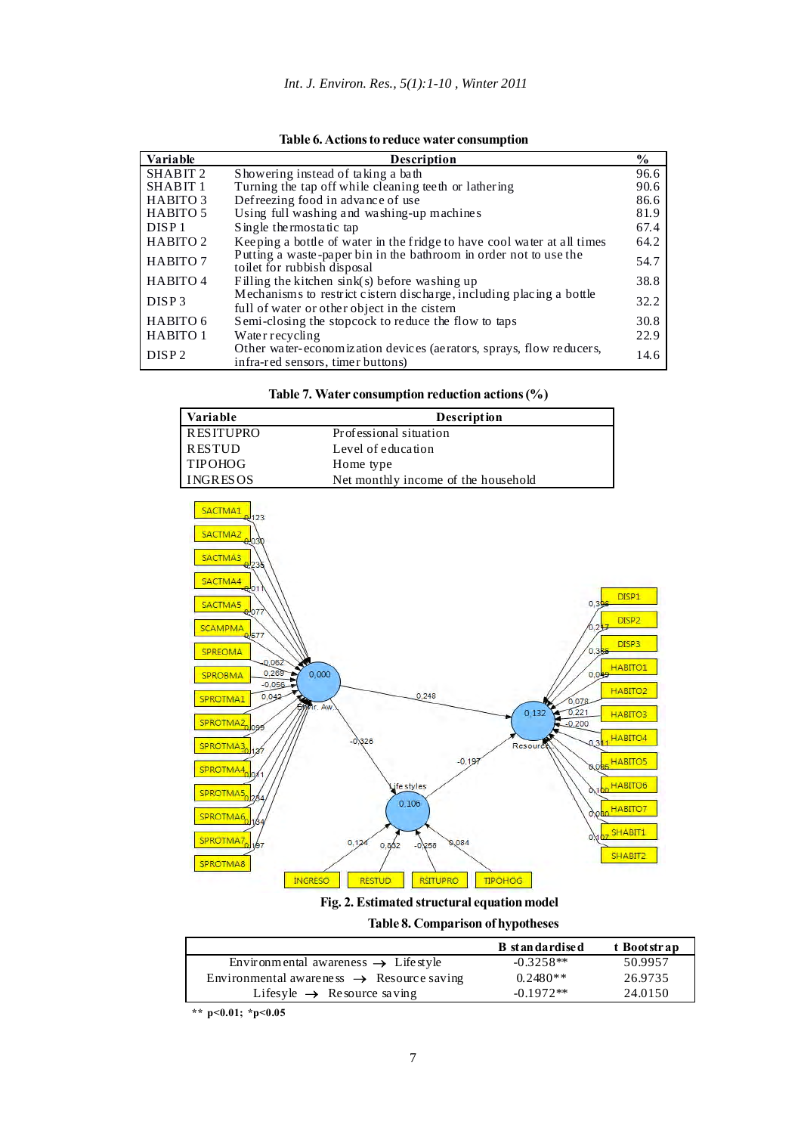| Variable            | <b>Description</b>                                                                                                   | $\%$ |
|---------------------|----------------------------------------------------------------------------------------------------------------------|------|
| SHABIT <sub>2</sub> | Showering instead of taking a bath                                                                                   | 96.6 |
| SHABIT <sub>1</sub> | Turning the tap off while cleaning tee th or lathering                                                               | 90.6 |
| <b>HABITO 3</b>     | Defreezing food in advance of use.                                                                                   | 86.6 |
| <b>HABITO 5</b>     | Using full washing and washing-up machines                                                                           | 81.9 |
| DISP1               | Single thermostatic tap                                                                                              | 67.4 |
| HABITO <sub>2</sub> | Keeping a bottle of water in the fridge to have cool water at all times                                              | 64.2 |
| HABITO 7            | Putting a waste-paper bin in the bathroom in order not to use the<br>toilet for rubbish disposal                     | 54.7 |
| HABITO 4            | Filling the kitchen sink(s) before washing up                                                                        | 38.8 |
| DISP <sub>3</sub>   | Mechanisms to restrict cistern discharge, including placing a bottle<br>full of water or other object in the cistern | 32.2 |
| HABITO 6            | Semi-closing the stopcock to reduce the flow to taps                                                                 | 30.8 |
| HABITO 1            | Water recycling                                                                                                      | 22.9 |
| DISP <sub>2</sub>   | Other water-economization devices (aerators, sprays, flow reducers,<br>infra-red sensors, timer buttons)             | 14.6 |

| Table 6. Actions to reduce water consumption |  |  |
|----------------------------------------------|--|--|

|  |  | Table 7. Water consumption reduction actions $(\%)$ |  |  |  |  |
|--|--|-----------------------------------------------------|--|--|--|--|
|--|--|-----------------------------------------------------|--|--|--|--|

| Variable         | <b>Description</b>                  |
|------------------|-------------------------------------|
| <b>RESITUPRO</b> | Professional situation              |
| <b>RESTUD</b>    | Level of education                  |
| <b>TIPOHOG</b>   | Home type                           |
| <b>INGRESOS</b>  | Net monthly income of the household |



**Fig. 2. Estimated structural equation model**

**Table 8. Comparison of hypotheses**

| <b>B</b> st an dardise d | t Bootstrap |
|--------------------------|-------------|
| $-0.3258**$              | 50.9957     |
| $0.2480**$               | 26.9735     |
| $-0.1972**$              | 24.0150     |
|                          |             |

 **\*\* p<0.01; \*p<0.05**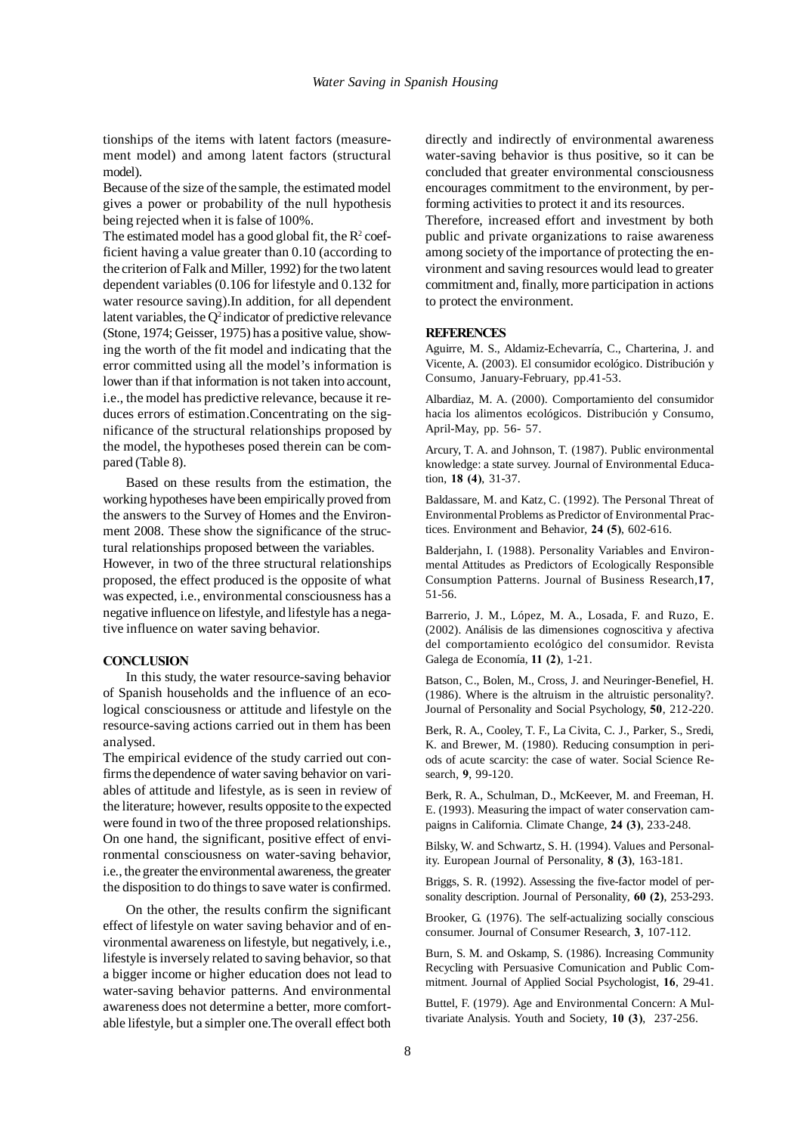tionships of the items with latent factors (measurement model) and among latent factors (structural model).

Because of the size of the sample, the estimated model gives a power or probability of the null hypothesis being rejected when it is false of 100%.

The estimated model has a good global fit, the  $R^2$  coefficient having a value greater than 0.10 (according to the criterion of Falk and Miller, 1992) for the two latent dependent variables (0.106 for lifestyle and 0.132 for water resource saving).In addition, for all dependent latent variables, the  $Q^2$  indicator of predictive relevance (Stone, 1974; Geisser, 1975) has a positive value, showing the worth of the fit model and indicating that the error committed using all the model's information is lower than if that information is not taken into account, i.e., the model has predictive relevance, because it reduces errors of estimation.Concentrating on the significance of the structural relationships proposed by the model, the hypotheses posed therein can be compared (Table 8).

Based on these results from the estimation, the working hypotheses have been empirically proved from the answers to the Survey of Homes and the Environment 2008. These show the significance of the structural relationships proposed between the variables. However, in two of the three structural relationships proposed, the effect produced is the opposite of what was expected, i.e., environmental consciousness has a negative influence on lifestyle, and lifestyle has a negative influence on water saving behavior.

#### **CONCLUSION**

In this study, the water resource-saving behavior of Spanish households and the influence of an ecological consciousness or attitude and lifestyle on the resource-saving actions carried out in them has been analysed.

The empirical evidence of the study carried out confirms the dependence of water saving behavior on variables of attitude and lifestyle, as is seen in review of the literature; however, results opposite to the expected were found in two of the three proposed relationships. On one hand, the significant, positive effect of environmental consciousness on water-saving behavior, i.e., the greater the environmental awareness, the greater the disposition to do things to save water is confirmed.

On the other, the results confirm the significant effect of lifestyle on water saving behavior and of environmental awareness on lifestyle, but negatively, i.e., lifestyle is inversely related to saving behavior, so that a bigger income or higher education does not lead to water-saving behavior patterns. And environmental awareness does not determine a better, more comfortable lifestyle, but a simpler one.The overall effect both

directly and indirectly of environmental awareness water-saving behavior is thus positive, so it can be concluded that greater environmental consciousness encourages commitment to the environment, by performing activities to protect it and its resources.

Therefore, increased effort and investment by both public and private organizations to raise awareness among society of the importance of protecting the environment and saving resources would lead to greater commitment and, finally, more participation in actions to protect the environment.

#### **REFERENCES**

Aguirre, M. S., Aldamiz-Echevarría, C., Charterina, J. and Vicente, A. (2003). El consumidor ecológico. Distribución y Consumo*,* January-February, pp.41-53.

Albardiaz, M. A. (2000). Comportamiento del consumidor hacia los alimentos ecológicos. Distribución y Consumo, April-May, pp. 56- 57.

Arcury, T. A. and Johnson, T. (1987). Public environmental knowledge: a state survey. Journal of Environmental Education, **18 (4)**, 31-37.

Baldassare, M. and Katz, C. (1992). The Personal Threat of Environmental Problems as Predictor of Environmental Practices. Environment and Behavior*,* **24 (5)**, 602-616.

Balderjahn, I. (1988). Personality Variables and Environmental Attitudes as Predictors of Ecologically Responsible Consumption Patterns. Journal of Business Research*,***17**, 51-56.

Barrerio, J. M., López, M. A., Losada, F. and Ruzo, E. (2002). Análisis de las dimensiones cognoscitiva y afectiva del comportamiento ecológico del consumidor. Revista Galega de Economía*,* **11 (2)**, 1-21.

Batson, C., Bolen, M., Cross, J. and Neuringer-Benefiel, H. (1986). Where is the altruism in the altruistic personality?. Journal of Personality and Social Psychology, **50**, 212-220.

Berk, R. A., Cooley, T. F., La Civita, C. J., Parker, S., Sredi, K. and Brewer, M. (1980). Reducing consumption in periods of acute scarcity: the case of water. Social Science Research, **9**, 99-120.

Berk, R. A., Schulman, D., McKeever, M. and Freeman, H. E. (1993). Measuring the impact of water conservation campaigns in California. Climate Change*,* **24 (3)**, 233-248.

Bilsky, W. and Schwartz, S. H. (1994). Values and Personality. European Journal of Personality*,* **8 (3)**, 163-181.

Briggs, S. R. (1992). Assessing the five-factor model of personality description. Journal of Personality*,* **60 (2)**, 253-293.

Brooker, G. (1976). The self-actualizing socially conscious consumer. Journal of Consumer Research, **3**, 107-112.

Burn, S. M. and Oskamp, S. (1986). Increasing Community Recycling with Persuasive Comunication and Public Commitment. Journal of Applied Social Psychologist, **16**, 29-41.

Buttel, F. (1979). Age and Environmental Concern: A Multivariate Analysis. Youth and Society*,* **10 (3)**, 237-256.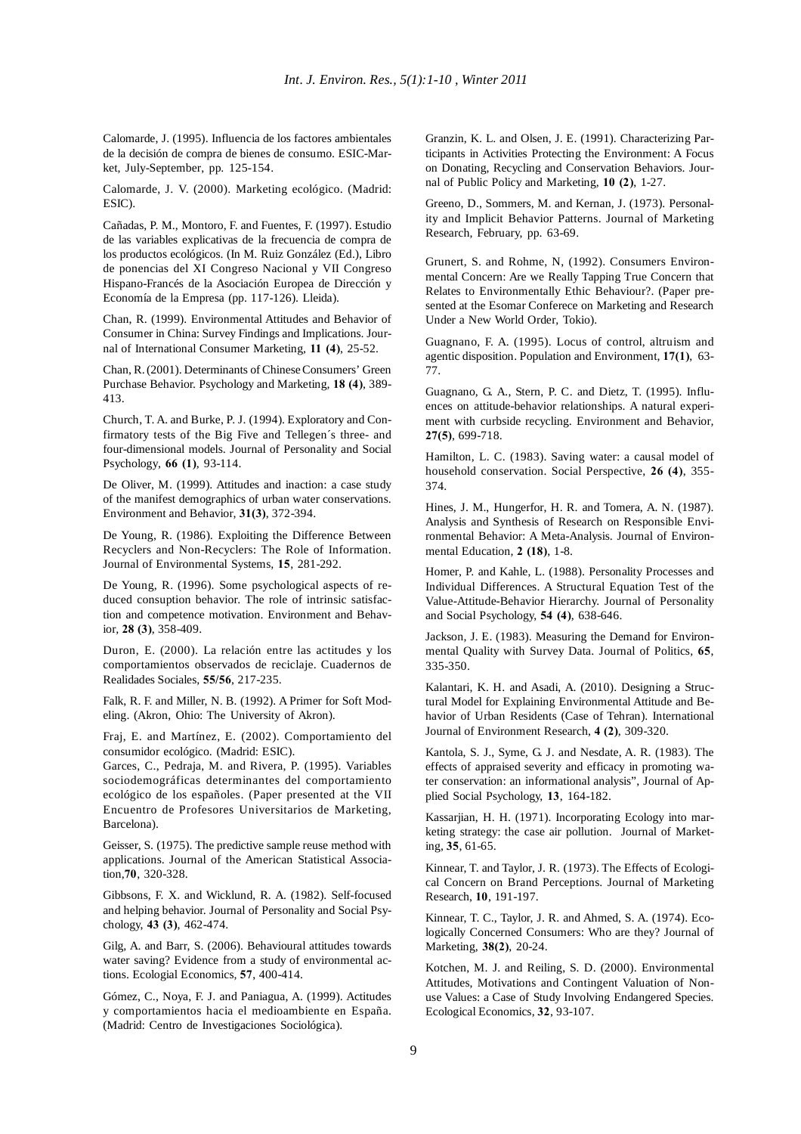Calomarde, J. (1995). Influencia de los factores ambientales de la decisión de compra de bienes de consumo. ESIC-Market*,* July-September, pp. 125-154.

Calomarde, J. V. (2000). Marketing ecológico. (Madrid: ESIC).

Cañadas, P. M., Montoro, F. and Fuentes, F. (1997). Estudio de las variables explicativas de la frecuencia de compra de los productos ecológicos. (In M. Ruiz González (Ed.), Libro de ponencias del XI Congreso Nacional y VII Congreso Hispano-Francés de la Asociación Europea de Dirección y Economía de la Empresa (pp. 117-126). Lleida).

Chan, R. (1999). Environmental Attitudes and Behavior of Consumer in China: Survey Findings and Implications. Journal of International Consumer Marketing*,* **11 (4)**, 25-52.

Chan, R. (2001). Determinants of Chinese Consumers' Green Purchase Behavior. Psychology and Marketing*,* **18 (4)**, 389- 413.

Church, T. A. and Burke, P. J. (1994). Exploratory and Confirmatory tests of the Big Five and Tellegen´s three- and four-dimensional models. Journal of Personality and Social Psychology*,* **66 (1)**, 93-114.

De Oliver, M. (1999). Attitudes and inaction: a case study of the manifest demographics of urban water conservations. Environment and Behavior*,* **31(3)**, 372-394.

De Young, R. (1986). Exploiting the Difference Between Recyclers and Non-Recyclers: The Role of Information. Journal of Environmental Systems*,* **15**, 281-292.

De Young, R. (1996). Some psychological aspects of reduced consuption behavior. The role of intrinsic satisfaction and competence motivation. Environment and Behavior*,* **28 (3)**, 358-409.

Duron, E. (2000). La relación entre las actitudes y los comportamientos observados de reciclaje. Cuadernos de Realidades Sociales*,* **55/56**, 217-235.

Falk, R. F. and Miller, N. B. (1992). A Primer for Soft Modeling. (Akron, Ohio: The University of Akron).

Fraj, E. and Martínez, E. (2002). Comportamiento del consumidor ecológico. (Madrid: ESIC).

Garces, C., Pedraja, M. and Rivera, P. (1995). Variables sociodemográficas determinantes del comportamiento ecológico de los españoles. (Paper presented at the VII Encuentro de Profesores Universitarios de Marketing*,* Barcelona).

Geisser, S. (1975). The predictive sample reuse method with applications. Journal of the American Statistical Association,**70**, 320-328.

Gibbsons, F. X. and Wicklund, R. A. (1982). Self-focused and helping behavior. Journal of Personality and Social Psychology, **43 (3)**, 462-474.

Gilg, A. and Barr, S. (2006). Behavioural attitudes towards water saving? Evidence from a study of environmental actions. Ecologial Economics*,* **57**, 400-414.

Gómez, C., Noya, F. J. and Paniagua, A. (1999). Actitudes y comportamientos hacia el medioambiente en España. (Madrid: Centro de Investigaciones Sociológica).

Granzin, K. L. and Olsen, J. E. (1991). Characterizing Participants in Activities Protecting the Environment: A Focus on Donating, Recycling and Conservation Behaviors. Journal of Public Policy and Marketing*,* **10 (2)**, 1-27.

Greeno, D., Sommers, M. and Kernan, J. (1973). Personality and Implicit Behavior Patterns. Journal of Marketing Research*,* February, pp. 63-69.

Grunert, S. and Rohme, N, (1992). Consumers Environmental Concern: Are we Really Tapping True Concern that Relates to Environmentally Ethic Behaviour?. (Paper presented at the Esomar Conferece on Marketing and Research Under a New World Order*,* Tokio).

Guagnano, F. A. (1995). Locus of control, altruism and agentic disposition. Population and Environment*,* **17(1)**, 63- 77.

Guagnano, G. A., Stern, P. C. and Dietz, T. (1995). Influences on attitude-behavior relationships. A natural experiment with curbside recycling. Environment and Behavior*,* **27(5)**, 699-718.

Hamilton, L. C. (1983). Saving water: a causal model of household conservation. Social Perspective*,* **26 (4)**, 355- 374.

Hines, J. M., Hungerfor, H. R. and Tomera, A. N. (1987). Analysis and Synthesis of Research on Responsible Environmental Behavior: A Meta-Analysis. Journal of Environmental Education*,* **2 (18)**, 1-8.

Homer, P. and Kahle, L. (1988). Personality Processes and Individual Differences. A Structural Equation Test of the Value-Attitude-Behavior Hierarchy. Journal of Personality and Social Psychology, **54 (4)**, 638-646.

Jackson, J. E. (1983). Measuring the Demand for Environmental Quality with Survey Data. Journal of Politics*,* **65**, 335-350.

Kalantari, K. H. and Asadi, A. (2010). Designing a Structural Model for Explaining Environmental Attitude and Behavior of Urban Residents (Case of Tehran). International Journal of Environment Research, **4 (2)**, 309-320.

Kantola, S. J., Syme, G. J. and Nesdate, A. R. (1983). The effects of appraised severity and efficacy in promoting water conservation: an informational analysis", Journal of Applied Social Psychology, **13**, 164-182.

Kassarjian, H. H. (1971). Incorporating Ecology into marketing strategy: the case air pollution. Journal of Marketing, **35**, 61-65.

Kinnear, T. and Taylor, J. R. (1973). The Effects of Ecological Concern on Brand Perceptions. Journal of Marketing Research, **10**, 191-197.

Kinnear, T. C., Taylor, J. R. and Ahmed, S. A. (1974). Ecologically Concerned Consumers: Who are they? Journal of Marketing*,* **38(2)**, 20-24.

Kotchen, M. J. and Reiling, S. D. (2000). Environmental Attitudes, Motivations and Contingent Valuation of Nonuse Values: a Case of Study Involving Endangered Species. Ecological Economics, **32**, 93-107.